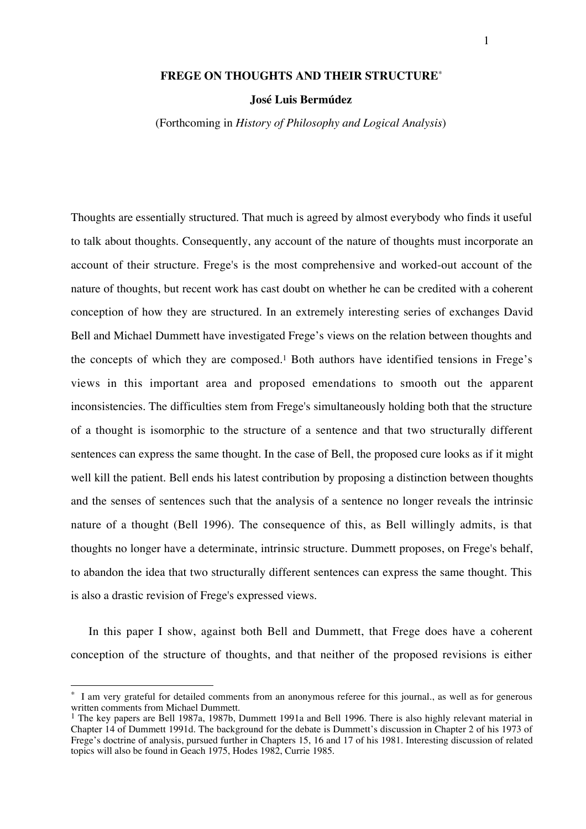## **FREGE ON THOUGHTS AND THEIR STRUCTURE**\*

#### **José Luis Bermúdez**

(Forthcoming in *History of Philosophy and Logical Analysis*)

Thoughts are essentially structured. That much is agreed by almost everybody who finds it useful to talk about thoughts. Consequently, any account of the nature of thoughts must incorporate an account of their structure. Frege's is the most comprehensive and worked-out account of the nature of thoughts, but recent work has cast doubt on whether he can be credited with a coherent conception of how they are structured. In an extremely interesting series of exchanges David Bell and Michael Dummett have investigated Frege's views on the relation between thoughts and the concepts of which they are composed.<sup>1</sup> Both authors have identified tensions in Frege's views in this important area and proposed emendations to smooth out the apparent inconsistencies. The difficulties stem from Frege's simultaneously holding both that the structure of a thought is isomorphic to the structure of a sentence and that two structurally different sentences can express the same thought. In the case of Bell, the proposed cure looks as if it might well kill the patient. Bell ends his latest contribution by proposing a distinction between thoughts and the senses of sentences such that the analysis of a sentence no longer reveals the intrinsic nature of a thought (Bell 1996). The consequence of this, as Bell willingly admits, is that thoughts no longer have a determinate, intrinsic structure. Dummett proposes, on Frege's behalf, to abandon the idea that two structurally different sentences can express the same thought. This is also a drastic revision of Frege's expressed views.

In this paper I show, against both Bell and Dummett, that Frege does have a coherent conception of the structure of thoughts, and that neither of the proposed revisions is either

I am very grateful for detailed comments from an anonymous referee for this journal, as well as for generous written comments from Michael Dummett.

<sup>&</sup>lt;sup>1</sup> The key papers are Bell 1987a, 1987b, Dummett 1991a and Bell 1996. There is also highly relevant material in Chapter 14 of Dummett 1991d. The background for the debate is Dummett's discussion in Chapter 2 of his 1973 of Frege's doctrine of analysis, pursued further in Chapters 15, 16 and 17 of his 1981. Interesting discussion of related topics will also be found in Geach 1975, Hodes 1982, Currie 1985.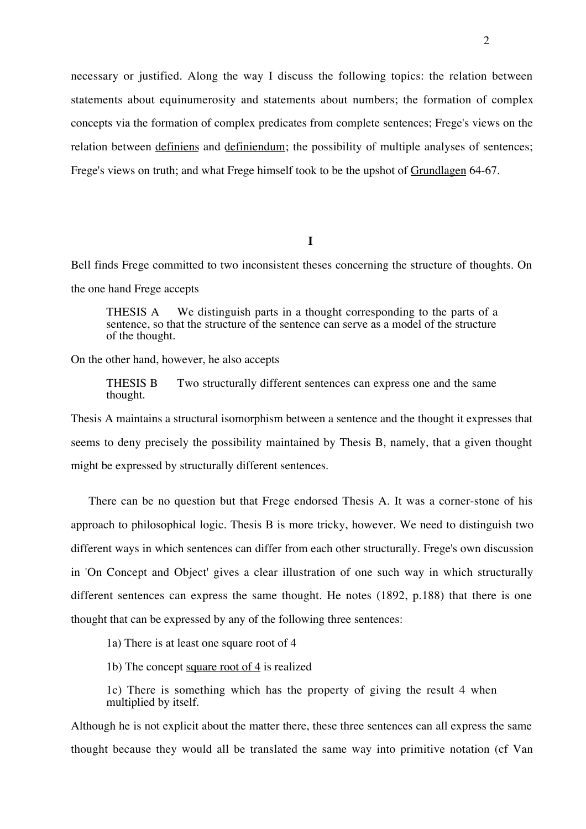necessary or justified. Along the way I discuss the following topics: the relation between statements about equinumerosity and statements about numbers; the formation of complex concepts via the formation of complex predicates from complete sentences; Frege's views on the relation between definiens and definiendum; the possibility of multiple analyses of sentences; Frege's views on truth; and what Frege himself took to be the upshot of Grundlagen 64-67.

**I**

Bell finds Frege committed to two inconsistent theses concerning the structure of thoughts. On the one hand Frege accepts

THESIS A We distinguish parts in a thought corresponding to the parts of a sentence, so that the structure of the sentence can serve as a model of the structure of the thought.

On the other hand, however, he also accepts

THESIS B Two structurally different sentences can express one and the same thought.

Thesis A maintains a structural isomorphism between a sentence and the thought it expresses that seems to deny precisely the possibility maintained by Thesis B, namely, that a given thought might be expressed by structurally different sentences.

There can be no question but that Frege endorsed Thesis A. It was a corner-stone of his approach to philosophical logic. Thesis B is more tricky, however. We need to distinguish two different ways in which sentences can differ from each other structurally. Frege's own discussion in 'On Concept and Object' gives a clear illustration of one such way in which structurally different sentences can express the same thought. He notes (1892, p.188) that there is one thought that can be expressed by any of the following three sentences:

1a) There is at least one square root of 4

1b) The concept square root of 4 is realized

1c) There is something which has the property of giving the result 4 when multiplied by itself.

Although he is not explicit about the matter there, these three sentences can all express the same thought because they would all be translated the same way into primitive notation (cf Van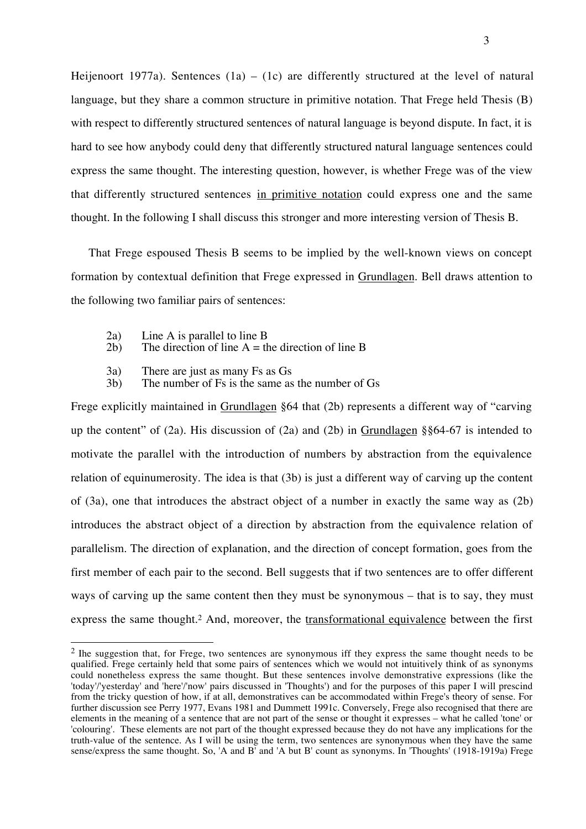Heijenoort 1977a). Sentences  $(1a) - (1c)$  are differently structured at the level of natural language, but they share a common structure in primitive notation. That Frege held Thesis (B) with respect to differently structured sentences of natural language is beyond dispute. In fact, it is hard to see how anybody could deny that differently structured natural language sentences could express the same thought. The interesting question, however, is whether Frege was of the view that differently structured sentences in primitive notation could express one and the same thought. In the following I shall discuss this stronger and more interesting version of Thesis B.

That Frege espoused Thesis B seems to be implied by the well-known views on concept formation by contextual definition that Frege expressed in Grundlagen. Bell draws attention to the following two familiar pairs of sentences:

2a) Line A is parallel to line B<br>2b) The direction of line  $A = th$ 

 $\overline{a}$ 

- The direction of line  $A =$  the direction of line B
- 3a) There are just as many Fs as Gs<br>3b) The number of Fs is the same as
- The number of  $Fs$  is the same as the number of  $Gs$

Frege explicitly maintained in Grundlagen §64 that (2b) represents a different way of "carving up the content" of (2a). His discussion of (2a) and (2b) in Grundlagen §§64-67 is intended to motivate the parallel with the introduction of numbers by abstraction from the equivalence relation of equinumerosity. The idea is that (3b) is just a different way of carving up the content of (3a), one that introduces the abstract object of a number in exactly the same way as (2b) introduces the abstract object of a direction by abstraction from the equivalence relation of parallelism. The direction of explanation, and the direction of concept formation, goes from the first member of each pair to the second. Bell suggests that if two sentences are to offer different ways of carving up the same content then they must be synonymous – that is to say, they must express the same thought.2 And, moreover, the transformational equivalence between the first

<sup>&</sup>lt;sup>2</sup> Ihe suggestion that, for Frege, two sentences are synonymous iff they express the same thought needs to be qualified. Frege certainly held that some pairs of sentences which we would not intuitively think of as synonyms could nonetheless express the same thought. But these sentences involve demonstrative expressions (like the 'today'/'yesterday' and 'here'/'now' pairs discussed in 'Thoughts') and for the purposes of this paper I will prescind from the tricky question of how, if at all, demonstratives can be accommodated within Frege's theory of sense. For further discussion see Perry 1977, Evans 1981 and Dummett 1991c. Conversely, Frege also recognised that there are elements in the meaning of a sentence that are not part of the sense or thought it expresses – what he called 'tone' or 'colouring'. These elements are not part of the thought expressed because they do not have any implications for the truth-value of the sentence. As I will be using the term, two sentences are synonymous when they have the same sense/express the same thought. So, 'A and B' and 'A but B' count as synonyms. In 'Thoughts' (1918-1919a) Frege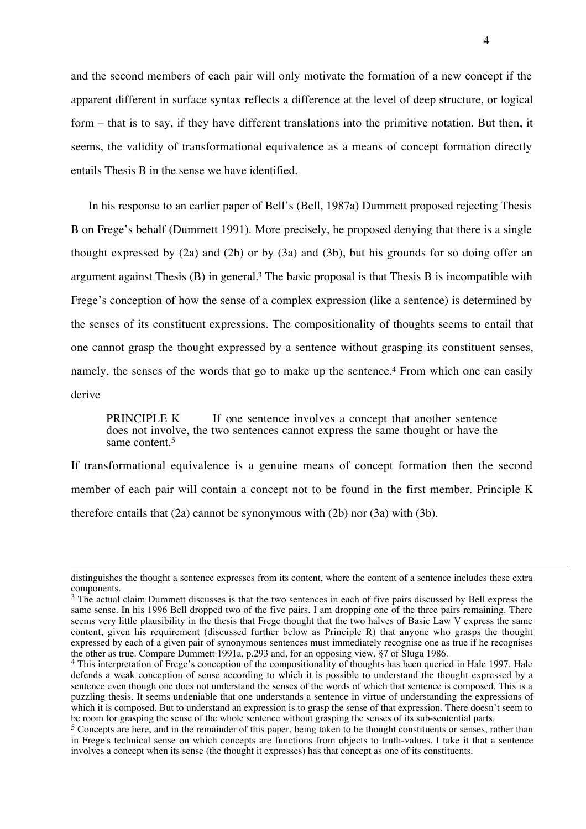and the second members of each pair will only motivate the formation of a new concept if the apparent different in surface syntax reflects a difference at the level of deep structure, or logical form – that is to say, if they have different translations into the primitive notation. But then, it seems, the validity of transformational equivalence as a means of concept formation directly entails Thesis B in the sense we have identified.

In his response to an earlier paper of Bell's (Bell, 1987a) Dummett proposed rejecting Thesis B on Frege's behalf (Dummett 1991). More precisely, he proposed denying that there is a single thought expressed by (2a) and (2b) or by (3a) and (3b), but his grounds for so doing offer an argument against Thesis (B) in general.3 The basic proposal is that Thesis B is incompatible with Frege's conception of how the sense of a complex expression (like a sentence) is determined by the senses of its constituent expressions. The compositionality of thoughts seems to entail that one cannot grasp the thought expressed by a sentence without grasping its constituent senses, namely, the senses of the words that go to make up the sentence.<sup>4</sup> From which one can easily derive

PRINCIPLE K If one sentence involves a concept that another sentence does not involve, the two sentences cannot express the same thought or have the same content.5

If transformational equivalence is a genuine means of concept formation then the second member of each pair will contain a concept not to be found in the first member. Principle K therefore entails that (2a) cannot be synonymous with (2b) nor (3a) with (3b).

distinguishes the thought a sentence expresses from its content, where the content of a sentence includes these extra components.

 $3$  The actual claim Dummett discusses is that the two sentences in each of five pairs discussed by Bell express the same sense. In his 1996 Bell dropped two of the five pairs. I am dropping one of the three pairs remaining. There seems very little plausibility in the thesis that Frege thought that the two halves of Basic Law V express the same content, given his requirement (discussed further below as Principle R) that anyone who grasps the thought expressed by each of a given pair of synonymous sentences must immediately recognise one as true if he recognises the other as true. Compare Dummett 1991a, p.293 and, for an opposing view, §7 of Sluga 1986.

<sup>4</sup> This interpretation of Frege's conception of the compositionality of thoughts has been queried in Hale 1997. Hale defends a weak conception of sense according to which it is possible to understand the thought expressed by a sentence even though one does not understand the senses of the words of which that sentence is composed. This is a puzzling thesis. It seems undeniable that one understands a sentence in virtue of understanding the expressions of which it is composed. But to understand an expression is to grasp the sense of that expression. There doesn't seem to be room for grasping the sense of the whole sentence without grasping the senses of its sub-sentential parts.

 $<sup>5</sup>$  Concepts are here, and in the remainder of this paper, being taken to be thought constituents or senses, rather than</sup> in Frege's technical sense on which concepts are functions from objects to truth-values. I take it that a sentence involves a concept when its sense (the thought it expresses) has that concept as one of its constituents.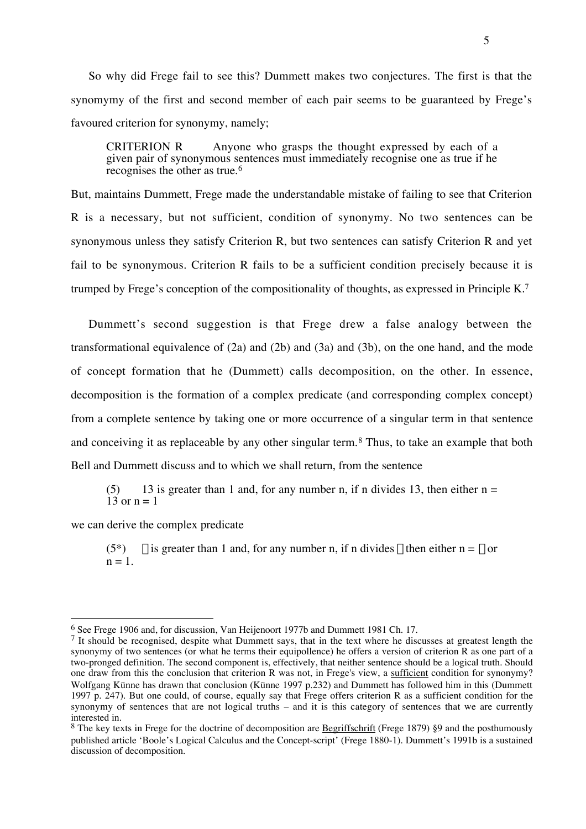So why did Frege fail to see this? Dummett makes two conjectures. The first is that the synomymy of the first and second member of each pair seems to be guaranteed by Frege's favoured criterion for synonymy, namely;

CRITERION R — Anyone who grasps the thought expressed by each of a given pair of synonymous sentences must immediately recognise one as true if he recognises the other as true.<sup>6</sup>

But, maintains Dummett, Frege made the understandable mistake of failing to see that Criterion R is a necessary, but not sufficient, condition of synonymy. No two sentences can be synonymous unless they satisfy Criterion R, but two sentences can satisfy Criterion R and yet fail to be synonymous. Criterion R fails to be a sufficient condition precisely because it is trumped by Frege's conception of the compositionality of thoughts, as expressed in Principle K.7

Dummett's second suggestion is that Frege drew a false analogy between the transformational equivalence of  $(2a)$  and  $(2b)$  and  $(3a)$  and  $(3b)$ , on the one hand, and the mode of concept formation that he (Dummett) calls decomposition, on the other. In essence, decomposition is the formation of a complex predicate (and corresponding complex concept) from a complete sentence by taking one or more occurrence of a singular term in that sentence and conceiving it as replaceable by any other singular term.8 Thus, to take an example that both Bell and Dummett discuss and to which we shall return, from the sentence

(5) 13 is greater than 1 and, for any number n, if n divides 13, then either  $n = 13$  or  $n = 1$ 

we can derive the complex predicate

 $\overline{a}$ 

(5<sup>\*</sup>)  $\xi$  is greater than 1 and, for any number n, if n divides  $\xi$  then either n =  $\xi$  or  $n = 1$ .

<sup>6</sup> See Frege 1906 and, for discussion, Van Heijenoort 1977b and Dummett 1981 Ch. 17.

<sup>&</sup>lt;sup>7</sup> It should be recognised, despite what Dummett says, that in the text where he discusses at greatest length the synonymy of two sentences (or what he terms their equipollence) he offers a version of criterion R as one part of a two-pronged definition. The second component is, effectively, that neither sentence should be a logical truth. Should one draw from this the conclusion that criterion R was not, in Frege's view, a sufficient condition for synonymy? Wolfgang Künne has drawn that conclusion (Künne 1997 p.232) and Dummett has followed him in this (Dummett 1997 p. 247). But one could, of course, equally say that Frege offers criterion R as a sufficient condition for the synonymy of sentences that are not logical truths – and it is this category of sentences that we are currently interested in.

<sup>&</sup>lt;sup>8</sup> The key texts in Frege for the doctrine of decomposition are **Begriffschrift** (Frege 1879) §9 and the posthumously published article 'Boole's Logical Calculus and the Concept-script' (Frege 1880-1). Dummett's 1991b is a sustained discussion of decomposition.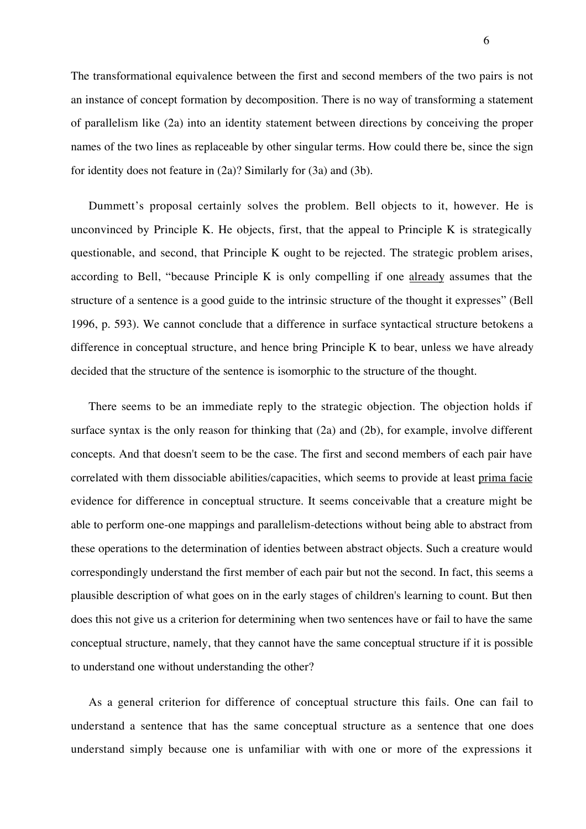The transformational equivalence between the first and second members of the two pairs is not an instance of concept formation by decomposition. There is no way of transforming a statement of parallelism like (2a) into an identity statement between directions by conceiving the proper names of the two lines as replaceable by other singular terms. How could there be, since the sign for identity does not feature in (2a)? Similarly for (3a) and (3b).

Dummett's proposal certainly solves the problem. Bell objects to it, however. He is unconvinced by Principle K. He objects, first, that the appeal to Principle K is strategically questionable, and second, that Principle K ought to be rejected. The strategic problem arises, according to Bell, "because Principle K is only compelling if one already assumes that the structure of a sentence is a good guide to the intrinsic structure of the thought it expresses" (Bell 1996, p. 593). We cannot conclude that a difference in surface syntactical structure betokens a difference in conceptual structure, and hence bring Principle K to bear, unless we have already decided that the structure of the sentence is isomorphic to the structure of the thought.

There seems to be an immediate reply to the strategic objection. The objection holds if surface syntax is the only reason for thinking that (2a) and (2b), for example, involve different concepts. And that doesn't seem to be the case. The first and second members of each pair have correlated with them dissociable abilities/capacities, which seems to provide at least prima facie evidence for difference in conceptual structure. It seems conceivable that a creature might be able to perform one-one mappings and parallelism-detections without being able to abstract from these operations to the determination of identies between abstract objects. Such a creature would correspondingly understand the first member of each pair but not the second. In fact, this seems a plausible description of what goes on in the early stages of children's learning to count. But then does this not give us a criterion for determining when two sentences have or fail to have the same conceptual structure, namely, that they cannot have the same conceptual structure if it is possible to understand one without understanding the other?

As a general criterion for difference of conceptual structure this fails. One can fail to understand a sentence that has the same conceptual structure as a sentence that one does understand simply because one is unfamiliar with with one or more of the expressions it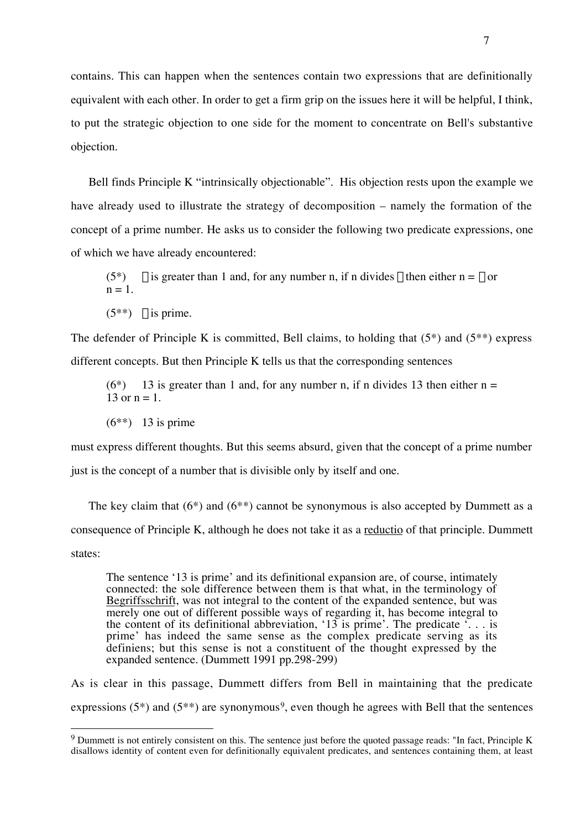contains. This can happen when the sentences contain two expressions that are definitionally equivalent with each other. In order to get a firm grip on the issues here it will be helpful, I think, to put the strategic objection to one side for the moment to concentrate on Bell's substantive objection.

Bell finds Principle K "intrinsically objectionable". His objection rests upon the example we have already used to illustrate the strategy of decomposition – namely the formation of the concept of a prime number. He asks us to consider the following two predicate expressions, one of which we have already encountered:

(5<sup>\*</sup>)  $\xi$  is greater than 1 and, for any number n, if n divides  $\xi$  then either n =  $\xi$  or  $n = 1$ .

 $(5^{**})$   $\geq$  is prime.

The defender of Principle K is committed, Bell claims, to holding that  $(5^*)$  and  $(5^{**})$  express different concepts. But then Principle K tells us that the corresponding sentences

 $(6^*)$  13 is greater than 1 and, for any number n, if n divides 13 then either n = 13 or  $n = 1$ .

 $(6^{**})$  13 is prime

 $\overline{a}$ 

must express different thoughts. But this seems absurd, given that the concept of a prime number just is the concept of a number that is divisible only by itself and one.

The key claim that  $(6^*)$  and  $(6^{**})$  cannot be synonymous is also accepted by Dummett as a consequence of Principle K, although he does not take it as a reductio of that principle. Dummett states:

The sentence '13 is prime' and its definitional expansion are, of course, intimately connected: the sole difference between them is that what, in the terminology of Begriffsschrift, was not integral to the content of the expanded sentence, but was merely one out of different possible ways of regarding it, has become integral to the content of its definitional abbreviation, '13 is prime'. The predicate '... is prime' has indeed the same sense as the complex predicate serving as its definiens; but this sense is not a constituent of the thought expressed by the expanded sentence. (Dummett 1991 pp.298-299)

As is clear in this passage, Dummett differs from Bell in maintaining that the predicate expressions (5<sup>\*</sup>) and (5<sup>\*\*</sup>) are synonymous<sup>9</sup>, even though he agrees with Bell that the sentences

<sup>9</sup> Dummett is not entirely consistent on this. The sentence just before the quoted passage reads: "In fact, Principle K disallows identity of content even for definitionally equivalent predicates, and sentences containing them, at least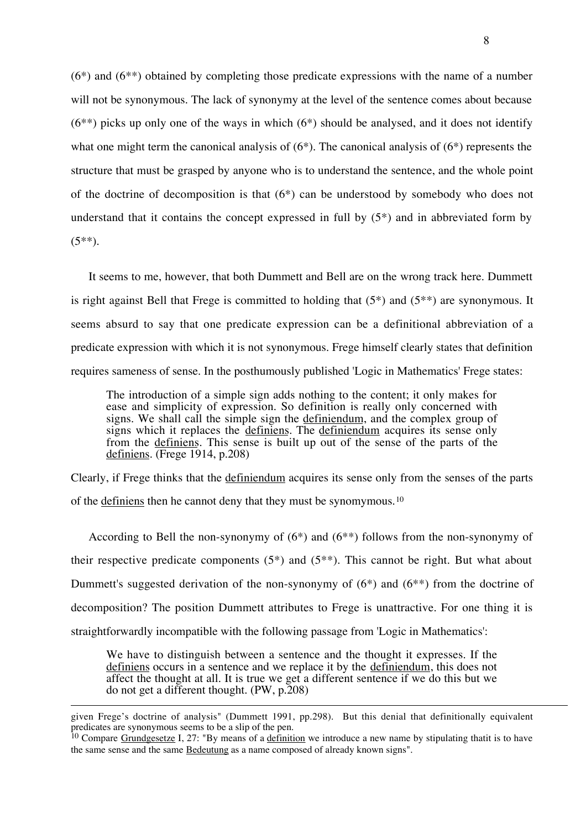(6\*) and (6\*\*) obtained by completing those predicate expressions with the name of a number will not be synonymous. The lack of synonymy at the level of the sentence comes about because  $(6^{**})$  picks up only one of the ways in which  $(6^*)$  should be analysed, and it does not identify what one might term the canonical analysis of  $(6^*)$ . The canonical analysis of  $(6^*)$  represents the structure that must be grasped by anyone who is to understand the sentence, and the whole point of the doctrine of decomposition is that (6\*) can be understood by somebody who does not understand that it contains the concept expressed in full by  $(5^*)$  and in abbreviated form by  $(5^{**})$ .

It seems to me, however, that both Dummett and Bell are on the wrong track here. Dummett is right against Bell that Frege is committed to holding that  $(5^*)$  and  $(5^{**})$  are synonymous. It seems absurd to say that one predicate expression can be a definitional abbreviation of a predicate expression with which it is not synonymous. Frege himself clearly states that definition requires sameness of sense. In the posthumously published 'Logic in Mathematics' Frege states:

The introduction of a simple sign adds nothing to the content; it only makes for ease and simplicity of expression. So definition is really only concerned with signs. We shall call the simple sign the definiendum, and the complex group of signs which it replaces the definiens. The definiendum acquires its sense only from the definiens. This sense is built up out of the sense of the parts of the definiens. (Frege 1914, p.208)

Clearly, if Frege thinks that the definiendum acquires its sense only from the senses of the parts of the definiens then he cannot deny that they must be synomymous.10

According to Bell the non-synonymy of (6\*) and (6\*\*) follows from the non-synonymy of their respective predicate components  $(5^*)$  and  $(5^{**})$ . This cannot be right. But what about Dummett's suggested derivation of the non-synonymy of  $(6^*)$  and  $(6^{**})$  from the doctrine of decomposition? The position Dummett attributes to Frege is unattractive. For one thing it is straightforwardly incompatible with the following passage from 'Logic in Mathematics':

We have to distinguish between a sentence and the thought it expresses. If the definiens occurs in a sentence and we replace it by the definiendum, this does not affect the thought at all. It is true we get a different sentence if we do this but we do not get a different thought. (PW, p.208)

given Frege's doctrine of analysis" (Dummett 1991, pp.298). But this denial that definitionally equivalent predicates are synonymous seems to be a slip of the pen.

<sup>&</sup>lt;sup>10</sup> Compare Grundgesetze I, 27: "By means of a definition we introduce a new name by stipulating thatit is to have the same sense and the same Bedeutung as a name composed of already known signs".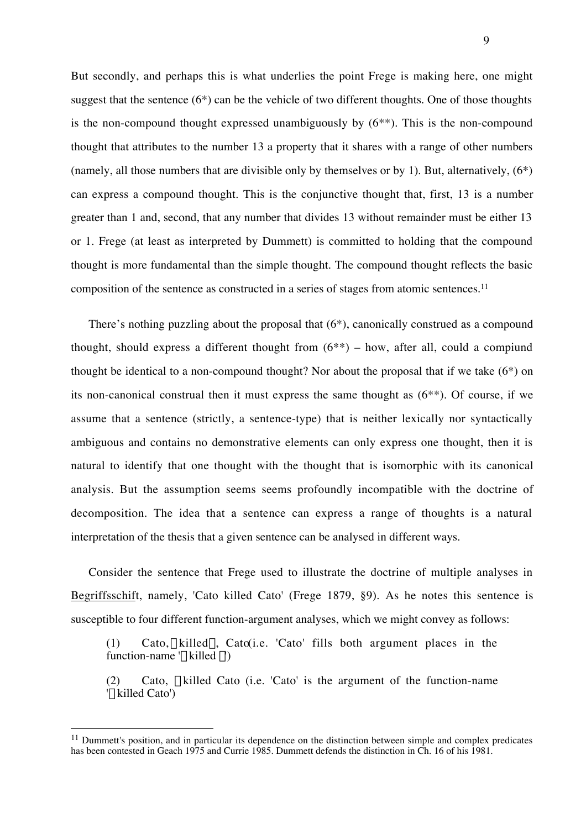But secondly, and perhaps this is what underlies the point Frege is making here, one might suggest that the sentence  $(6^*)$  can be the vehicle of two different thoughts. One of those thoughts is the non-compound thought expressed unambiguously by (6\*\*). This is the non-compound thought that attributes to the number 13 a property that it shares with a range of other numbers (namely, all those numbers that are divisible only by themselves or by 1). But, alternatively, (6\*) can express a compound thought. This is the conjunctive thought that, first, 13 is a number greater than 1 and, second, that any number that divides 13 without remainder must be either 13 or 1. Frege (at least as interpreted by Dummett) is committed to holding that the compound thought is more fundamental than the simple thought. The compound thought reflects the basic composition of the sentence as constructed in a series of stages from atomic sentences.11

There's nothing puzzling about the proposal that (6\*), canonically construed as a compound thought, should express a different thought from  $(6^{**})$  – how, after all, could a compiund thought be identical to a non-compound thought? Nor about the proposal that if we take (6\*) on its non-canonical construal then it must express the same thought as (6\*\*). Of course, if we assume that a sentence (strictly, a sentence-type) that is neither lexically nor syntactically ambiguous and contains no demonstrative elements can only express one thought, then it is natural to identify that one thought with the thought that is isomorphic with its canonical analysis. But the assumption seems seems profoundly incompatible with the doctrine of decomposition. The idea that a sentence can express a range of thoughts is a natural interpretation of the thesis that a given sentence can be analysed in different ways.

Consider the sentence that Frege used to illustrate the doctrine of multiple analyses in Begriffsschift, namely, 'Cato killed Cato' (Frege 1879, §9). As he notes this sentence is susceptible to four different function-argument analyses, which we might convey as follows:

(1) Cato,  $\xi$  killed $\xi$ , Cato(i.e. 'Cato' fills both argument places in the function-name ' $\xi$  killed  $\zeta$ ')

(2) Cato,  $\xi$  killed Cato (i.e. 'Cato' is the argument of the function-name ' $\mathcal{E}$  killed Cato')

<sup>&</sup>lt;sup>11</sup> Dummett's position, and in particular its dependence on the distinction between simple and complex predicates has been contested in Geach 1975 and Currie 1985. Dummett defends the distinction in Ch. 16 of his 1981.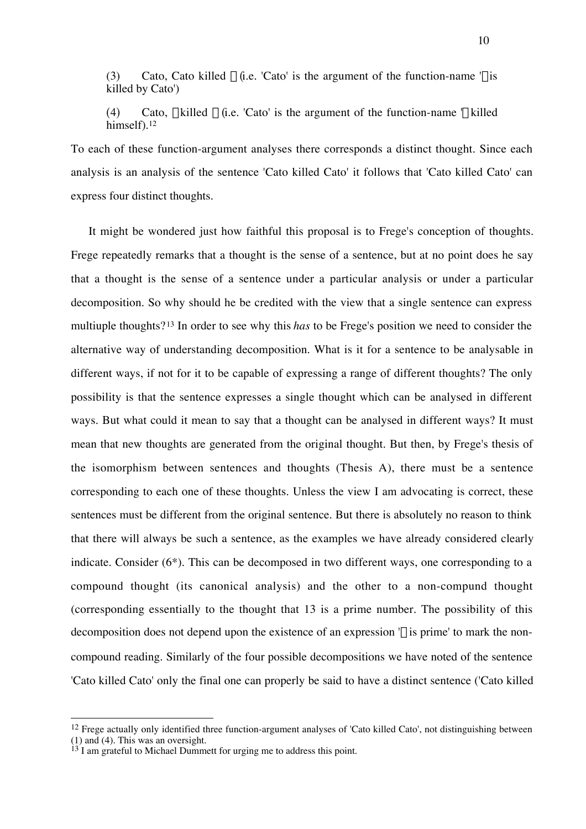(3) Cato, Cato killed  $\xi$  (i.e. 'Cato' is the argument of the function-name ' $\xi$  is killed by Cato')

(4) Cato,  $\xi$  killed  $\xi$  (i.e. 'Cato' is the argument of the function-name  $\xi$  killed himself).<sup>12</sup>

To each of these function-argument analyses there corresponds a distinct thought. Since each analysis is an analysis of the sentence 'Cato killed Cato' it follows that 'Cato killed Cato' can express four distinct thoughts.

It might be wondered just how faithful this proposal is to Frege's conception of thoughts. Frege repeatedly remarks that a thought is the sense of a sentence, but at no point does he say that a thought is the sense of a sentence under a particular analysis or under a particular decomposition. So why should he be credited with the view that a single sentence can express multiuple thoughts?13 In order to see why this *has* to be Frege's position we need to consider the alternative way of understanding decomposition. What is it for a sentence to be analysable in different ways, if not for it to be capable of expressing a range of different thoughts? The only possibility is that the sentence expresses a single thought which can be analysed in different ways. But what could it mean to say that a thought can be analysed in different ways? It must mean that new thoughts are generated from the original thought. But then, by Frege's thesis of the isomorphism between sentences and thoughts (Thesis A), there must be a sentence corresponding to each one of these thoughts. Unless the view I am advocating is correct, these sentences must be different from the original sentence. But there is absolutely no reason to think that there will always be such a sentence, as the examples we have already considered clearly indicate. Consider (6\*). This can be decomposed in two different ways, one corresponding to a compound thought (its canonical analysis) and the other to a non-compund thought (corresponding essentially to the thought that 13 is a prime number. The possibility of this decomposition does not depend upon the existence of an expression  $\xi$  is prime' to mark the noncompound reading. Similarly of the four possible decompositions we have noted of the sentence 'Cato killed Cato' only the final one can properly be said to have a distinct sentence ('Cato killed

 $12$  Frege actually only identified three function-argument analyses of 'Cato killed Cato', not distinguishing between (1) and (4). This was an oversight.

 $13$  I am grateful to Michael Dummett for urging me to address this point.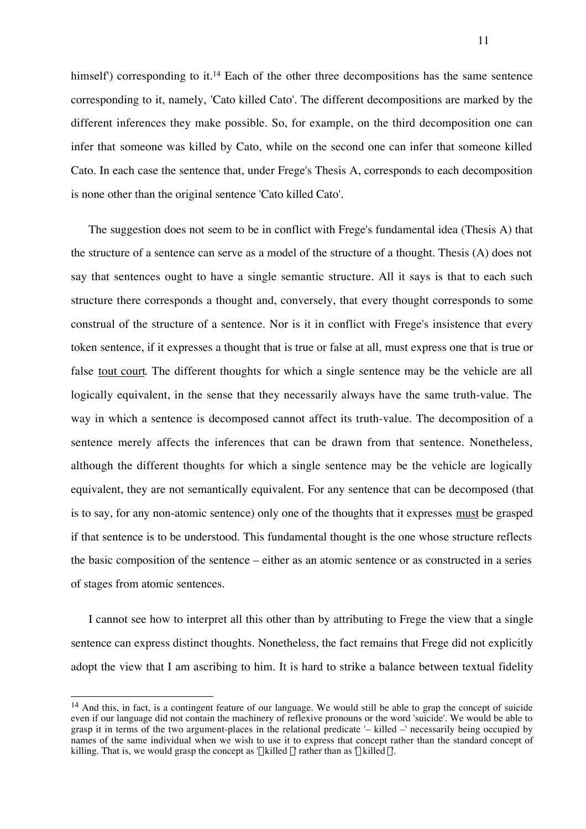himself') corresponding to it.<sup>14</sup> Each of the other three decompositions has the same sentence corresponding to it, namely, 'Cato killed Cato'. The different decompositions are marked by the different inferences they make possible. So, for example, on the third decomposition one can infer that someone was killed by Cato, while on the second one can infer that someone killed Cato. In each case the sentence that, under Frege's Thesis A, corresponds to each decomposition is none other than the original sentence 'Cato killed Cato'.

The suggestion does not seem to be in conflict with Frege's fundamental idea (Thesis A) that the structure of a sentence can serve as a model of the structure of a thought. Thesis (A) does not say that sentences ought to have a single semantic structure. All it says is that to each such structure there corresponds a thought and, conversely, that every thought corresponds to some construal of the structure of a sentence. Nor is it in conflict with Frege's insistence that every token sentence, if it expresses a thought that is true or false at all, must express one that is true or false tout court. The different thoughts for which a single sentence may be the vehicle are all logically equivalent, in the sense that they necessarily always have the same truth-value. The way in which a sentence is decomposed cannot affect its truth-value. The decomposition of a sentence merely affects the inferences that can be drawn from that sentence. Nonetheless, although the different thoughts for which a single sentence may be the vehicle are logically equivalent, they are not semantically equivalent. For any sentence that can be decomposed (that is to say, for any non-atomic sentence) only one of the thoughts that it expresses must be grasped if that sentence is to be understood. This fundamental thought is the one whose structure reflects the basic composition of the sentence – either as an atomic sentence or as constructed in a series of stages from atomic sentences.

I cannot see how to interpret all this other than by attributing to Frege the view that a single sentence can express distinct thoughts. Nonetheless, the fact remains that Frege did not explicitly adopt the view that I am ascribing to him. It is hard to strike a balance between textual fidelity

<sup>&</sup>lt;sup>14</sup> And this, in fact, is a contingent feature of our language. We would still be able to grap the concept of suicide even if our language did not contain the machinery of reflexive pronouns or the word 'suicide'. We would be able to grasp it in terms of the two argument-places in the relational predicate '– killed –' necessarily being occupied by names of the same individual when we wish to use it to express that concept rather than the standard concept of killing. That is, we would grasp the concept as ' $\xi$  killed  $\xi'$ ' rather than as  $\xi$  killed  $\xi'$ .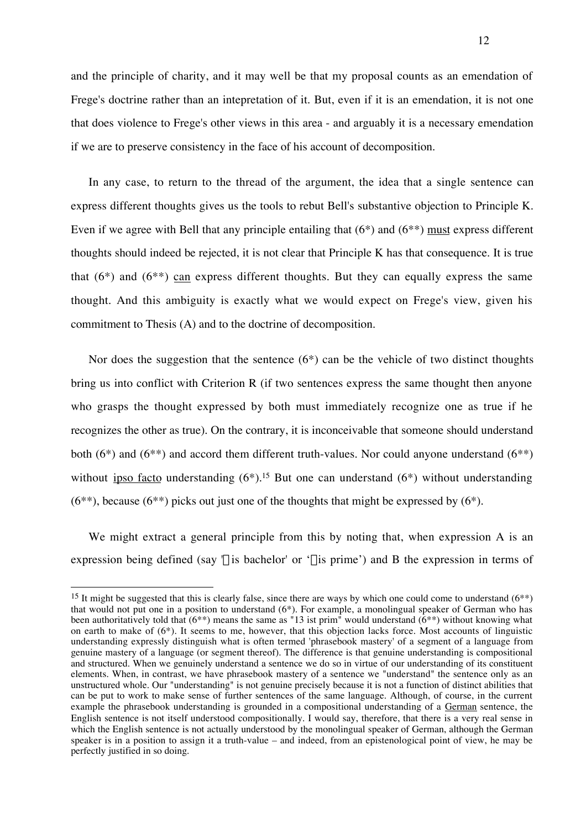and the principle of charity, and it may well be that my proposal counts as an emendation of Frege's doctrine rather than an intepretation of it. But, even if it is an emendation, it is not one that does violence to Frege's other views in this area - and arguably it is a necessary emendation if we are to preserve consistency in the face of his account of decomposition.

In any case, to return to the thread of the argument, the idea that a single sentence can express different thoughts gives us the tools to rebut Bell's substantive objection to Principle K. Even if we agree with Bell that any principle entailing that (6\*) and (6\*\*) must express different thoughts should indeed be rejected, it is not clear that Principle K has that consequence. It is true that  $(6^*)$  and  $(6^{**})$  can express different thoughts. But they can equally express the same thought. And this ambiguity is exactly what we would expect on Frege's view, given his commitment to Thesis (A) and to the doctrine of decomposition.

Nor does the suggestion that the sentence  $(6^*)$  can be the vehicle of two distinct thoughts bring us into conflict with Criterion R (if two sentences express the same thought then anyone who grasps the thought expressed by both must immediately recognize one as true if he recognizes the other as true). On the contrary, it is inconceivable that someone should understand both  $(6^*)$  and  $(6^{**})$  and accord them different truth-values. Nor could anyone understand  $(6^{**})$ without ipso facto understanding  $(6^*)$ .<sup>15</sup> But one can understand  $(6^*)$  without understanding  $(6^{**})$ , because  $(6^{**})$  picks out just one of the thoughts that might be expressed by  $(6^*)$ .

We might extract a general principle from this by noting that, when expression A is an expression being defined (say  $\xi$  is bachelor' or ' $\xi$  is prime') and B the expression in terms of

<sup>&</sup>lt;sup>15</sup> It might be suggested that this is clearly false, since there are ways by which one could come to understand  $(6^{**})$ that would not put one in a position to understand (6\*). For example, a monolingual speaker of German who has been authoritatively told that  $(6^{**})$  means the same as "13 ist prim" would understand  $(6^{**})$  without knowing what on earth to make of (6\*). It seems to me, however, that this objection lacks force. Most accounts of linguistic understanding expressly distinguish what is often termed 'phrasebook mastery' of a segment of a language from genuine mastery of a language (or segment thereof). The difference is that genuine understanding is compositional and structured. When we genuinely understand a sentence we do so in virtue of our understanding of its constituent elements. When, in contrast, we have phrasebook mastery of a sentence we "understand" the sentence only as an unstructured whole. Our "understanding" is not genuine precisely because it is not a function of distinct abilities that can be put to work to make sense of further sentences of the same language. Although, of course, in the current example the phrasebook understanding is grounded in a compositional understanding of a German sentence, the English sentence is not itself understood compositionally. I would say, therefore, that there is a very real sense in which the English sentence is not actually understood by the monolingual speaker of German, although the German speaker is in a position to assign it a truth-value – and indeed, from an epistenological point of view, he may be perfectly justified in so doing.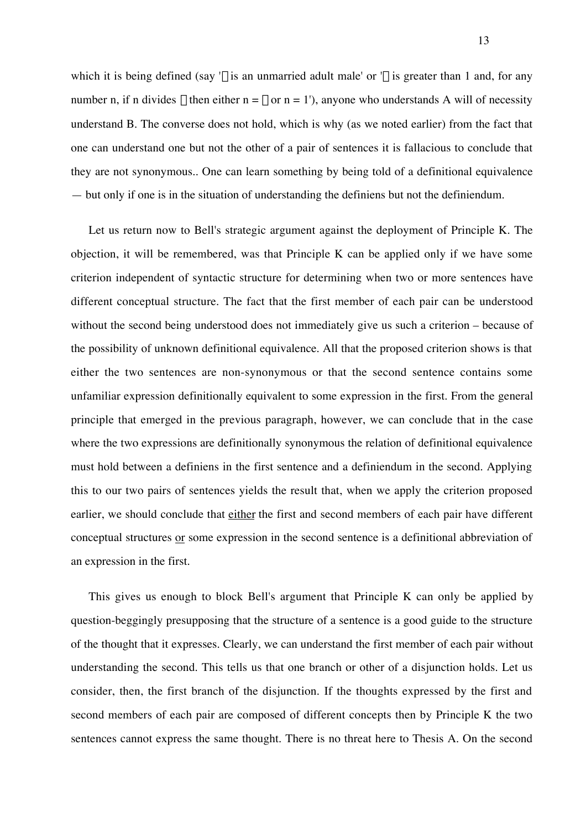which it is being defined (say ' $\xi$  is an unmarried adult male' or ' $\xi$  is greater than 1 and, for any number n, if n divides  $\xi$  then either n =  $\xi$  or n = 1'), anyone who understands A will of necessity understand B. The converse does not hold, which is why (as we noted earlier) from the fact that one can understand one but not the other of a pair of sentences it is fallacious to conclude that they are not synonymous.. One can learn something by being told of a definitional equivalence — but only if one is in the situation of understanding the definiens but not the definiendum.

Let us return now to Bell's strategic argument against the deployment of Principle K. The objection, it will be remembered, was that Principle K can be applied only if we have some criterion independent of syntactic structure for determining when two or more sentences have different conceptual structure. The fact that the first member of each pair can be understood without the second being understood does not immediately give us such a criterion – because of the possibility of unknown definitional equivalence. All that the proposed criterion shows is that either the two sentences are non-synonymous or that the second sentence contains some unfamiliar expression definitionally equivalent to some expression in the first. From the general principle that emerged in the previous paragraph, however, we can conclude that in the case where the two expressions are definitionally synonymous the relation of definitional equivalence must hold between a definiens in the first sentence and a definiendum in the second. Applying this to our two pairs of sentences yields the result that, when we apply the criterion proposed earlier, we should conclude that either the first and second members of each pair have different conceptual structures or some expression in the second sentence is a definitional abbreviation of an expression in the first.

This gives us enough to block Bell's argument that Principle K can only be applied by question-beggingly presupposing that the structure of a sentence is a good guide to the structure of the thought that it expresses. Clearly, we can understand the first member of each pair without understanding the second. This tells us that one branch or other of a disjunction holds. Let us consider, then, the first branch of the disjunction. If the thoughts expressed by the first and second members of each pair are composed of different concepts then by Principle K the two sentences cannot express the same thought. There is no threat here to Thesis A. On the second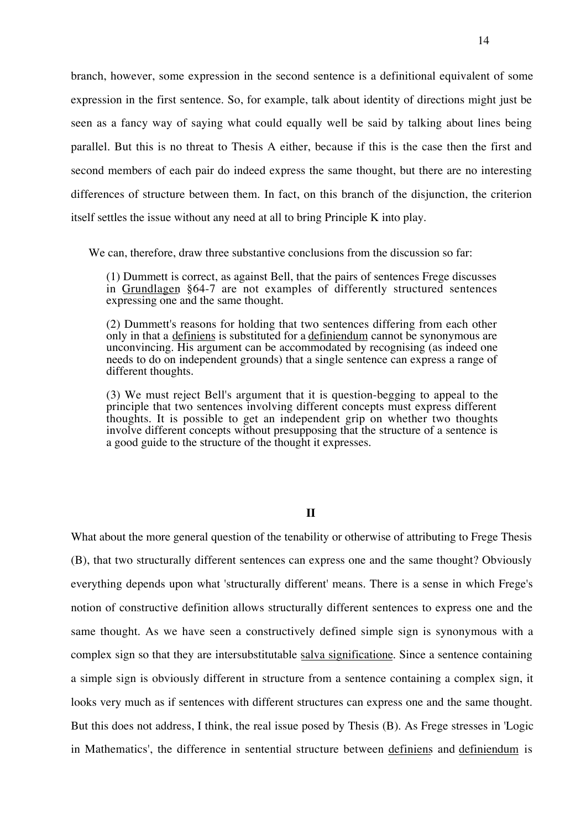branch, however, some expression in the second sentence is a definitional equivalent of some expression in the first sentence. So, for example, talk about identity of directions might just be seen as a fancy way of saying what could equally well be said by talking about lines being parallel. But this is no threat to Thesis A either, because if this is the case then the first and second members of each pair do indeed express the same thought, but there are no interesting differences of structure between them. In fact, on this branch of the disjunction, the criterion itself settles the issue without any need at all to bring Principle K into play.

We can, therefore, draw three substantive conclusions from the discussion so far:

(1) Dummett is correct, as against Bell, that the pairs of sentences Frege discusses in Grundlagen §64-7 are not examples of differently structured sentences expressing one and the same thought.

(2) Dummett's reasons for holding that two sentences differing from each other only in that a definiens is substituted for a definiendum cannot be synonymous are unconvincing. His argument can be accommodated by recognising (as indeed one needs to do on independent grounds) that a single sentence can express a range of different thoughts.

(3) We must reject Bell's argument that it is question-begging to appeal to the principle that two sentences involving different concepts must express different thoughts. It is possible to get an independent grip on whether two thoughts involve different concepts without presupposing that the structure of a sentence is a good guide to the structure of the thought it expresses.

# **II**

What about the more general question of the tenability or otherwise of attributing to Frege Thesis (B), that two structurally different sentences can express one and the same thought? Obviously everything depends upon what 'structurally different' means. There is a sense in which Frege's notion of constructive definition allows structurally different sentences to express one and the same thought. As we have seen a constructively defined simple sign is synonymous with a complex sign so that they are intersubstitutable salva significatione. Since a sentence containing a simple sign is obviously different in structure from a sentence containing a complex sign, it looks very much as if sentences with different structures can express one and the same thought. But this does not address, I think, the real issue posed by Thesis (B). As Frege stresses in 'Logic in Mathematics', the difference in sentential structure between definiens and definiendum is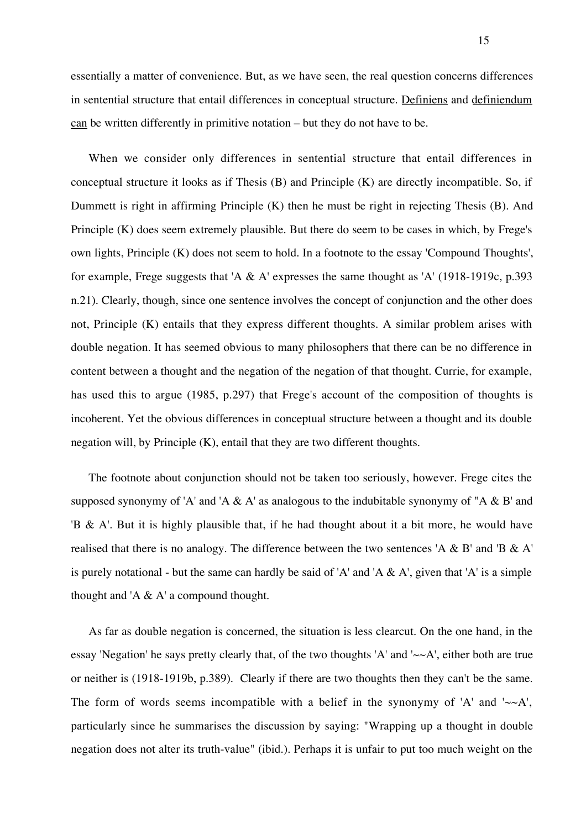essentially a matter of convenience. But, as we have seen, the real question concerns differences in sentential structure that entail differences in conceptual structure. Definiens and definiendum can be written differently in primitive notation – but they do not have to be.

When we consider only differences in sentential structure that entail differences in conceptual structure it looks as if Thesis (B) and Principle (K) are directly incompatible. So, if Dummett is right in affirming Principle (K) then he must be right in rejecting Thesis (B). And Principle (K) does seem extremely plausible. But there do seem to be cases in which, by Frege's own lights, Principle (K) does not seem to hold. In a footnote to the essay 'Compound Thoughts', for example, Frege suggests that 'A & A' expresses the same thought as 'A' (1918-1919c, p.393 n.21). Clearly, though, since one sentence involves the concept of conjunction and the other does not, Principle (K) entails that they express different thoughts. A similar problem arises with double negation. It has seemed obvious to many philosophers that there can be no difference in content between a thought and the negation of the negation of that thought. Currie, for example, has used this to argue (1985, p.297) that Frege's account of the composition of thoughts is incoherent. Yet the obvious differences in conceptual structure between a thought and its double negation will, by Principle (K), entail that they are two different thoughts.

The footnote about conjunction should not be taken too seriously, however. Frege cites the supposed synonymy of 'A' and 'A  $\&$  A' as analogous to the indubitable synonymy of "A  $\&$  B' and 'B & A'. But it is highly plausible that, if he had thought about it a bit more, he would have realised that there is no analogy. The difference between the two sentences 'A & B' and 'B & A' is purely notational - but the same can hardly be said of 'A' and 'A  $\&$  A', given that 'A' is a simple thought and 'A  $\&$  A' a compound thought.

As far as double negation is concerned, the situation is less clearcut. On the one hand, in the essay 'Negation' he says pretty clearly that, of the two thoughts 'A' and ' $\sim A$ ', either both are true or neither is (1918-1919b, p.389). Clearly if there are two thoughts then they can't be the same. The form of words seems incompatible with a belief in the synonymy of 'A' and ' $\sim A$ ', particularly since he summarises the discussion by saying: "Wrapping up a thought in double negation does not alter its truth-value" (ibid.). Perhaps it is unfair to put too much weight on the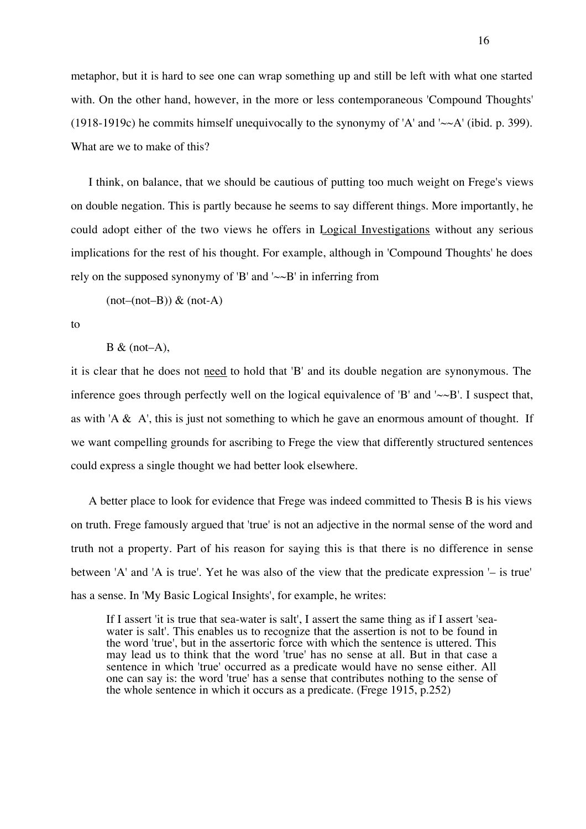metaphor, but it is hard to see one can wrap something up and still be left with what one started with. On the other hand, however, in the more or less contemporaneous 'Compound Thoughts' (1918-1919c) he commits himself unequivocally to the synonymy of 'A' and ' $\sim A$ ' (ibid. p. 399). What are we to make of this?

I think, on balance, that we should be cautious of putting too much weight on Frege's views on double negation. This is partly because he seems to say different things. More importantly, he could adopt either of the two views he offers in Logical Investigations without any serious implications for the rest of his thought. For example, although in 'Compound Thoughts' he does rely on the supposed synonymy of 'B' and ' $\sim B$ ' in inferring from

 $(not-(not-B))$  &  $(not-A)$ 

to

 $B & (not-A),$ 

it is clear that he does not need to hold that 'B' and its double negation are synonymous. The inference goes through perfectly well on the logical equivalence of 'B' and ' $\sim B$ '. I suspect that, as with 'A  $\&$  A', this is just not something to which he gave an enormous amount of thought. If we want compelling grounds for ascribing to Frege the view that differently structured sentences could express a single thought we had better look elsewhere.

A better place to look for evidence that Frege was indeed committed to Thesis B is his views on truth. Frege famously argued that 'true' is not an adjective in the normal sense of the word and truth not a property. Part of his reason for saying this is that there is no difference in sense between 'A' and 'A is true'. Yet he was also of the view that the predicate expression '– is true' has a sense. In 'My Basic Logical Insights', for example, he writes:

If I assert 'it is true that sea-water is salt', I assert the same thing as if I assert 'seawater is salt'. This enables us to recognize that the assertion is not to be found in the word 'true', but in the assertoric force with which the sentence is uttered. This may lead us to think that the word 'true' has no sense at all. But in that case a sentence in which 'true' occurred as a predicate would have no sense either. All one can say is: the word 'true' has a sense that contributes nothing to the sense of the whole sentence in which it occurs as a predicate. (Frege 1915, p.252)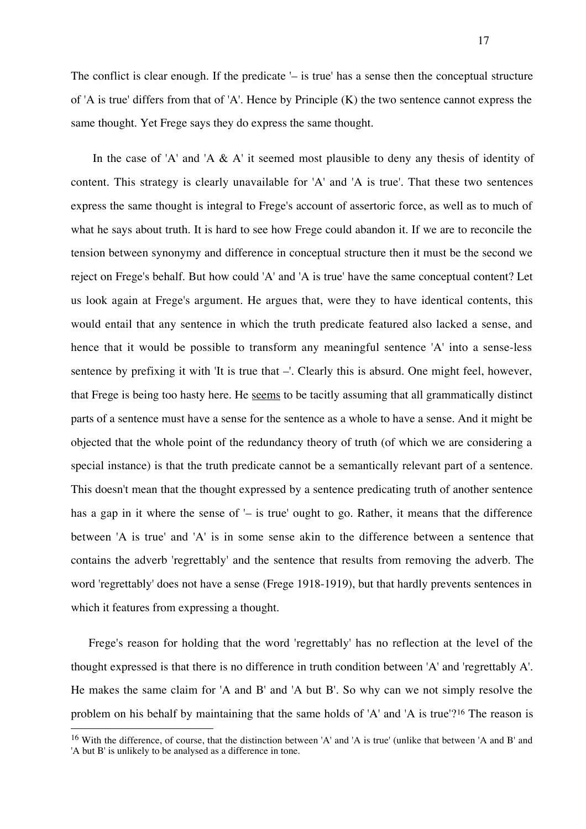The conflict is clear enough. If the predicate '– is true' has a sense then the conceptual structure of 'A is true' differs from that of 'A'. Hence by Principle (K) the two sentence cannot express the same thought. Yet Frege says they do express the same thought.

In the case of 'A' and 'A  $\&$  A' it seemed most plausible to deny any thesis of identity of content. This strategy is clearly unavailable for 'A' and 'A is true'. That these two sentences express the same thought is integral to Frege's account of assertoric force, as well as to much of what he says about truth. It is hard to see how Frege could abandon it. If we are to reconcile the tension between synonymy and difference in conceptual structure then it must be the second we reject on Frege's behalf. But how could 'A' and 'A is true' have the same conceptual content? Let us look again at Frege's argument. He argues that, were they to have identical contents, this would entail that any sentence in which the truth predicate featured also lacked a sense, and hence that it would be possible to transform any meaningful sentence 'A' into a sense-less sentence by prefixing it with 'It is true that –'. Clearly this is absurd. One might feel, however, that Frege is being too hasty here. He seems to be tacitly assuming that all grammatically distinct parts of a sentence must have a sense for the sentence as a whole to have a sense. And it might be objected that the whole point of the redundancy theory of truth (of which we are considering a special instance) is that the truth predicate cannot be a semantically relevant part of a sentence. This doesn't mean that the thought expressed by a sentence predicating truth of another sentence has a gap in it where the sense of '– is true' ought to go. Rather, it means that the difference between 'A is true' and 'A' is in some sense akin to the difference between a sentence that contains the adverb 'regrettably' and the sentence that results from removing the adverb. The word 'regrettably' does not have a sense (Frege 1918-1919), but that hardly prevents sentences in which it features from expressing a thought.

Frege's reason for holding that the word 'regrettably' has no reflection at the level of the thought expressed is that there is no difference in truth condition between 'A' and 'regrettably A'. He makes the same claim for 'A and B' and 'A but B'. So why can we not simply resolve the problem on his behalf by maintaining that the same holds of 'A' and 'A is true'?<sup>16</sup> The reason is  $\overline{a}$ 

<sup>16</sup> With the difference, of course, that the distinction between 'A' and 'A is true' (unlike that between 'A and B' and 'A but B' is unlikely to be analysed as a difference in tone.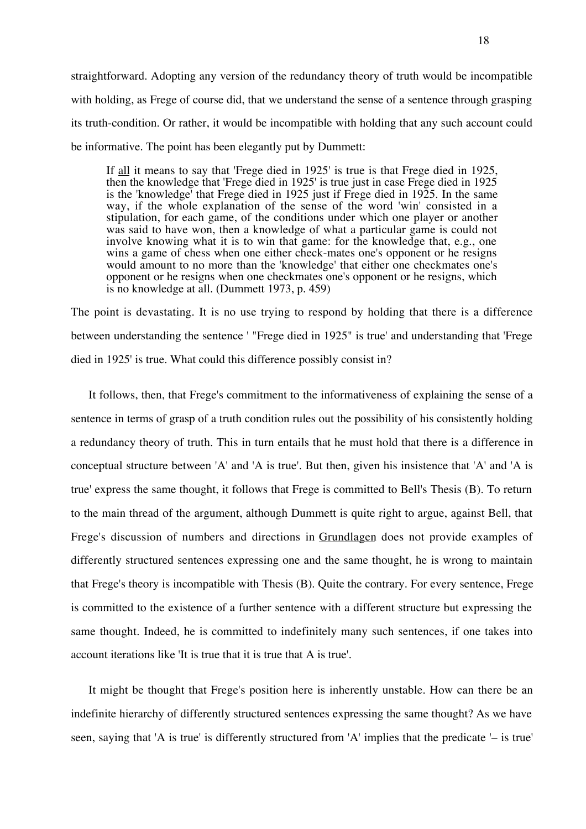straightforward. Adopting any version of the redundancy theory of truth would be incompatible with holding, as Frege of course did, that we understand the sense of a sentence through grasping its truth-condition. Or rather, it would be incompatible with holding that any such account could be informative. The point has been elegantly put by Dummett:

If all it means to say that 'Frege died in 1925' is true is that Frege died in 1925, then the knowledge that 'Frege died in 1925' is true just in case Frege died in 1925 is the 'knowledge' that Frege died in 1925 just if Frege died in 1925. In the same way, if the whole explanation of the sense of the word 'win' consisted in a stipulation, for each game, of the conditions under which one player or another was said to have won, then a knowledge of what a particular game is could not involve knowing what it is to win that game: for the knowledge that, e.g., one wins a game of chess when one either check-mates one's opponent or he resigns would amount to no more than the 'knowledge' that either one checkmates one's opponent or he resigns when one checkmates one's opponent or he resigns, which is no knowledge at all. (Dummett 1973, p. 459)

The point is devastating. It is no use trying to respond by holding that there is a difference between understanding the sentence ' "Frege died in 1925" is true' and understanding that 'Frege died in 1925' is true. What could this difference possibly consist in?

It follows, then, that Frege's commitment to the informativeness of explaining the sense of a sentence in terms of grasp of a truth condition rules out the possibility of his consistently holding a redundancy theory of truth. This in turn entails that he must hold that there is a difference in conceptual structure between 'A' and 'A is true'. But then, given his insistence that 'A' and 'A is true' express the same thought, it follows that Frege is committed to Bell's Thesis (B). To return to the main thread of the argument, although Dummett is quite right to argue, against Bell, that Frege's discussion of numbers and directions in Grundlagen does not provide examples of differently structured sentences expressing one and the same thought, he is wrong to maintain that Frege's theory is incompatible with Thesis (B). Quite the contrary. For every sentence, Frege is committed to the existence of a further sentence with a different structure but expressing the same thought. Indeed, he is committed to indefinitely many such sentences, if one takes into account iterations like 'It is true that it is true that A is true'.

It might be thought that Frege's position here is inherently unstable. How can there be an indefinite hierarchy of differently structured sentences expressing the same thought? As we have seen, saying that 'A is true' is differently structured from 'A' implies that the predicate '– is true'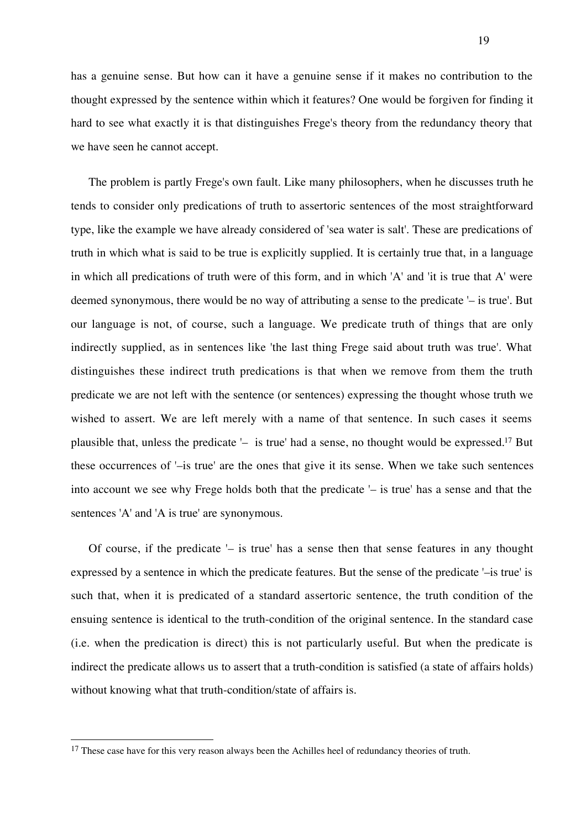has a genuine sense. But how can it have a genuine sense if it makes no contribution to the thought expressed by the sentence within which it features? One would be forgiven for finding it hard to see what exactly it is that distinguishes Frege's theory from the redundancy theory that we have seen he cannot accept.

The problem is partly Frege's own fault. Like many philosophers, when he discusses truth he tends to consider only predications of truth to assertoric sentences of the most straightforward type, like the example we have already considered of 'sea water is salt'. These are predications of truth in which what is said to be true is explicitly supplied. It is certainly true that, in a language in which all predications of truth were of this form, and in which 'A' and 'it is true that A' were deemed synonymous, there would be no way of attributing a sense to the predicate '– is true'. But our language is not, of course, such a language. We predicate truth of things that are only indirectly supplied, as in sentences like 'the last thing Frege said about truth was true'. What distinguishes these indirect truth predications is that when we remove from them the truth predicate we are not left with the sentence (or sentences) expressing the thought whose truth we wished to assert. We are left merely with a name of that sentence. In such cases it seems plausible that, unless the predicate '– is true' had a sense, no thought would be expressed.17 But these occurrences of '–is true' are the ones that give it its sense. When we take such sentences into account we see why Frege holds both that the predicate '– is true' has a sense and that the sentences 'A' and 'A is true' are synonymous.

Of course, if the predicate '– is true' has a sense then that sense features in any thought expressed by a sentence in which the predicate features. But the sense of the predicate '–is true' is such that, when it is predicated of a standard assertoric sentence, the truth condition of the ensuing sentence is identical to the truth-condition of the original sentence. In the standard case (i.e. when the predication is direct) this is not particularly useful. But when the predicate is indirect the predicate allows us to assert that a truth-condition is satisfied (a state of affairs holds) without knowing what that truth-condition/state of affairs is.

<sup>&</sup>lt;sup>17</sup> These case have for this very reason always been the Achilles heel of redundancy theories of truth.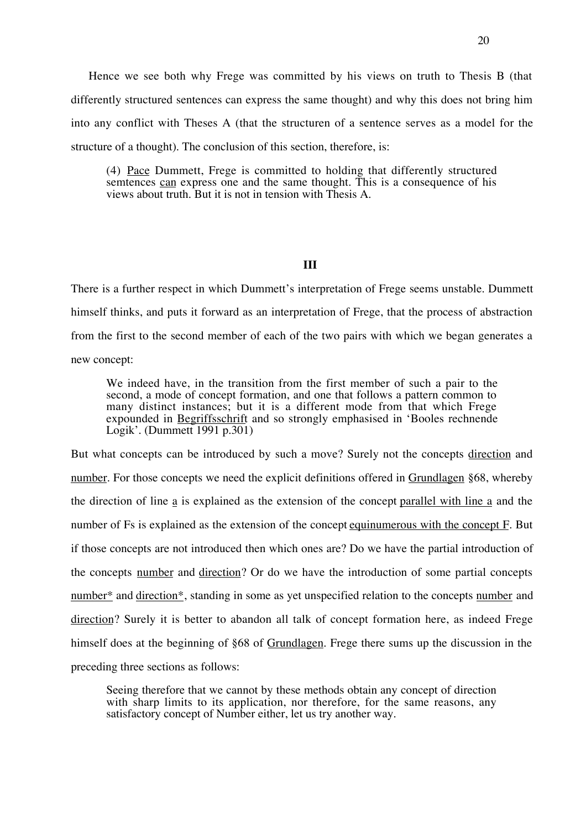Hence we see both why Frege was committed by his views on truth to Thesis B (that differently structured sentences can express the same thought) and why this does not bring him into any conflict with Theses A (that the structuren of a sentence serves as a model for the structure of a thought). The conclusion of this section, therefore, is:

(4) Pace Dummett, Frege is committed to holding that differently structured semtences can express one and the same thought. This is a consequence of his views about truth. But it is not in tension with Thesis A.

# **III**

There is a further respect in which Dummett's interpretation of Frege seems unstable. Dummett himself thinks, and puts it forward as an interpretation of Frege, that the process of abstraction from the first to the second member of each of the two pairs with which we began generates a new concept:

We indeed have, in the transition from the first member of such a pair to the second, a mode of concept formation, and one that follows a pattern common to many distinct instances; but it is a different mode from that which Frege expounded in Begriffsschrift and so strongly emphasised in 'Booles rechnende Logik'. (Dummett 1991 p.301)

But what concepts can be introduced by such a move? Surely not the concepts direction and number. For those concepts we need the explicit definitions offered in Grundlagen §68, whereby the direction of line a is explained as the extension of the concept parallel with line a and the number of Fs is explained as the extension of the concept equinumerous with the concept F. But if those concepts are not introduced then which ones are? Do we have the partial introduction of the concepts number and direction? Or do we have the introduction of some partial concepts number\* and direction\*, standing in some as yet unspecified relation to the concepts number and direction? Surely it is better to abandon all talk of concept formation here, as indeed Frege himself does at the beginning of §68 of Grundlagen. Frege there sums up the discussion in the preceding three sections as follows:

Seeing therefore that we cannot by these methods obtain any concept of direction with sharp limits to its application, nor therefore, for the same reasons, any satisfactory concept of Number either, let us try another way.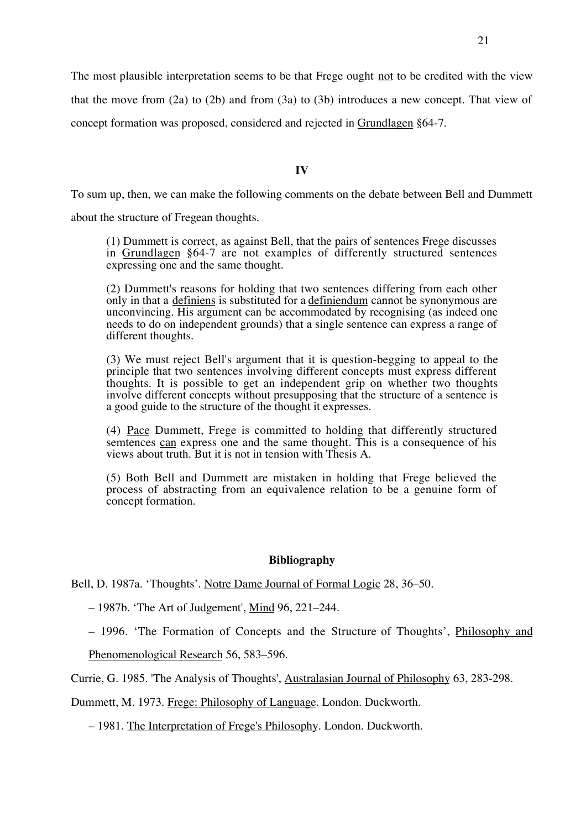The most plausible interpretation seems to be that Frege ought not to be credited with the view

that the move from (2a) to (2b) and from (3a) to (3b) introduces a new concept. That view of

concept formation was proposed, considered and rejected in Grundlagen §64-7.

**IV**

To sum up, then, we can make the following comments on the debate between Bell and Dummett

about the structure of Fregean thoughts.

(1) Dummett is correct, as against Bell, that the pairs of sentences Frege discusses in Grundlagen §64-7 are not examples of differently structured sentences expressing one and the same thought.

(2) Dummett's reasons for holding that two sentences differing from each other only in that a definiens is substituted for a definiendum cannot be synonymous are unconvincing. His argument can be accommodated by recognising (as indeed one needs to do on independent grounds) that a single sentence can express a range of different thoughts.

(3) We must reject Bell's argument that it is question-begging to appeal to the principle that two sentences involving different concepts must express different thoughts. It is possible to get an independent grip on whether two thoughts involve different concepts without presupposing that the structure of a sentence is a good guide to the structure of the thought it expresses.

(4) Pace Dummett, Frege is committed to holding that differently structured semtences can express one and the same thought. This is a consequence of his views about truth. But it is not in tension with Thesis A.

(5) Both Bell and Dummett are mistaken in holding that Frege believed the process of abstracting from an equivalence relation to be a genuine form of concept formation.

#### **Bibliography**

Bell, D. 1987a. 'Thoughts'. Notre Dame Journal of Formal Logic 28, 36–50.

– 1987b. 'The Art of Judgement', Mind 96, 221–244.

– 1996. 'The Formation of Concepts and the Structure of Thoughts', Philosophy and

Phenomenological Research 56, 583–596.

Currie, G. 1985. 'The Analysis of Thoughts', Australasian Journal of Philosophy 63, 283-298.

Dummett, M. 1973. Frege: Philosophy of Language. London. Duckworth.

– 1981. The Interpretation of Frege's Philosophy. London. Duckworth.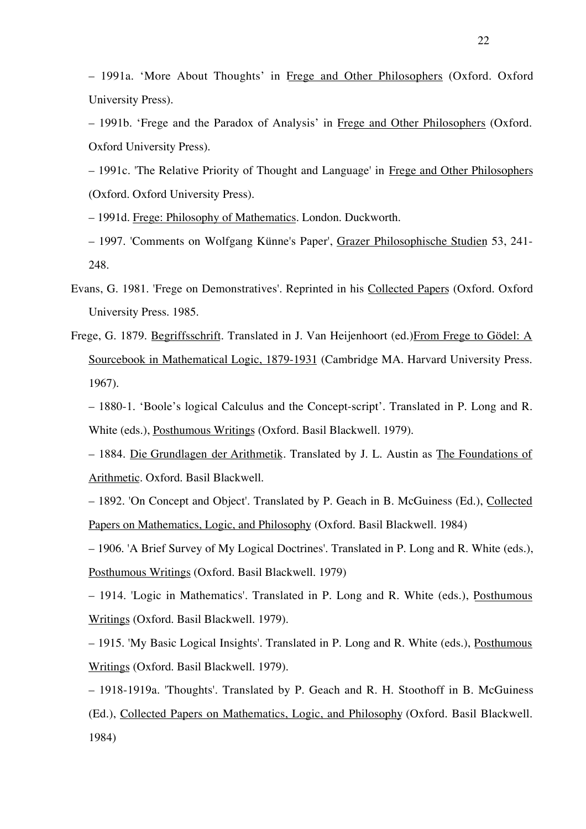– 1991a. 'More About Thoughts' in Frege and Other Philosophers (Oxford. Oxford University Press).

– 1991b. 'Frege and the Paradox of Analysis' in Frege and Other Philosophers (Oxford. Oxford University Press).

– 1991c. 'The Relative Priority of Thought and Language' in Frege and Other Philosophers (Oxford. Oxford University Press).

– 1991d. Frege: Philosophy of Mathematics. London. Duckworth.

– 1997. 'Comments on Wolfgang Künne's Paper', Grazer Philosophische Studien 53, 241- 248.

- Evans, G. 1981. 'Frege on Demonstratives'. Reprinted in his Collected Papers (Oxford. Oxford University Press. 1985.
- Frege, G. 1879. Begriffsschrift. Translated in J. Van Heijenhoort (ed.)From Frege to Gödel: A Sourcebook in Mathematical Logic, 1879-1931 (Cambridge MA. Harvard University Press. 1967).

– 1880-1. 'Boole's logical Calculus and the Concept-script'. Translated in P. Long and R. White (eds.), Posthumous Writings (Oxford. Basil Blackwell. 1979).

– 1884. Die Grundlagen der Arithmetik. Translated by J. L. Austin as The Foundations of Arithmetic. Oxford. Basil Blackwell.

– 1892. 'On Concept and Object'. Translated by P. Geach in B. McGuiness (Ed.), Collected Papers on Mathematics, Logic, and Philosophy (Oxford. Basil Blackwell. 1984)

– 1906. 'A Brief Survey of My Logical Doctrines'. Translated in P. Long and R. White (eds.), Posthumous Writings (Oxford. Basil Blackwell. 1979)

– 1914. 'Logic in Mathematics'. Translated in P. Long and R. White (eds.), Posthumous Writings (Oxford. Basil Blackwell. 1979).

– 1915. 'My Basic Logical Insights'. Translated in P. Long and R. White (eds.), Posthumous Writings (Oxford. Basil Blackwell. 1979).

– 1918-1919a. 'Thoughts'. Translated by P. Geach and R. H. Stoothoff in B. McGuiness (Ed.), Collected Papers on Mathematics, Logic, and Philosophy (Oxford. Basil Blackwell. 1984)